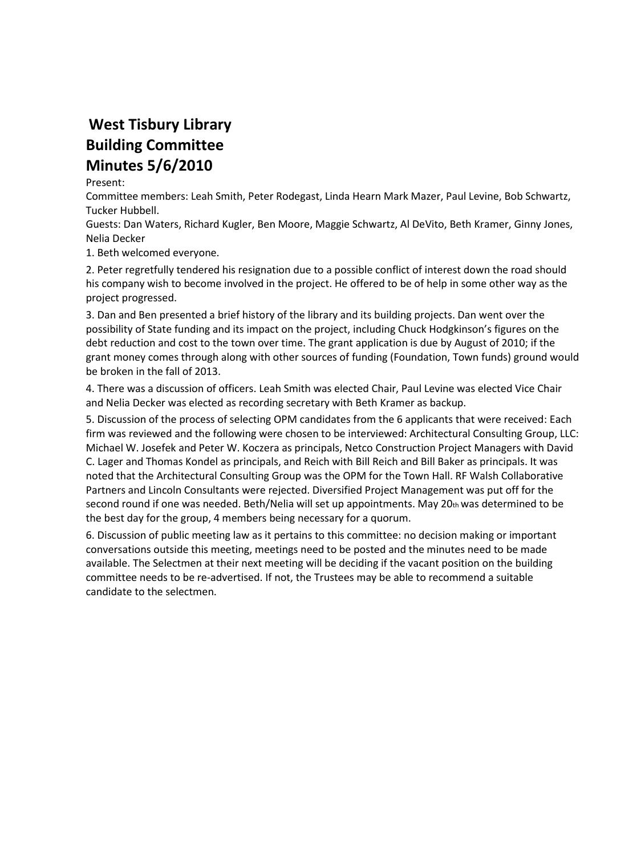## **West Tisbury Library Building Committee Minutes 5/6/2010**

## Present:

Committee members: Leah Smith, Peter Rodegast, Linda Hearn Mark Mazer, Paul Levine, Bob Schwartz, Tucker Hubbell.

Guests: Dan Waters, Richard Kugler, Ben Moore, Maggie Schwartz, Al DeVito, Beth Kramer, Ginny Jones, Nelia Decker

1. Beth welcomed everyone.

2. Peter regretfully tendered his resignation due to a possible conflict of interest down the road should his company wish to become involved in the project. He offered to be of help in some other way as the project progressed.

3. Dan and Ben presented a brief history of the library and its building projects. Dan went over the possibility of State funding and its impact on the project, including Chuck Hodgkinson's figures on the debt reduction and cost to the town over time. The grant application is due by August of 2010; if the grant money comes through along with other sources of funding (Foundation, Town funds) ground would be broken in the fall of 2013.

4. There was a discussion of officers. Leah Smith was elected Chair, Paul Levine was elected Vice Chair and Nelia Decker was elected as recording secretary with Beth Kramer as backup.

5. Discussion of the process of selecting OPM candidates from the 6 applicants that were received: Each firm was reviewed and the following were chosen to be interviewed: Architectural Consulting Group, LLC: Michael W. Josefek and Peter W. Koczera as principals, Netco Construction Project Managers with David C. Lager and Thomas Kondel as principals, and Reich with Bill Reich and Bill Baker as principals. It was noted that the Architectural Consulting Group was the OPM for the Town Hall. RF Walsh Collaborative Partners and Lincoln Consultants were rejected. Diversified Project Management was put off for the second round if one was needed. Beth/Nelia will set up appointments. May  $20<sub>th</sub>$  was determined to be the best day for the group, 4 members being necessary for a quorum.

6. Discussion of public meeting law as it pertains to this committee: no decision making or important conversations outside this meeting, meetings need to be posted and the minutes need to be made available. The Selectmen at their next meeting will be deciding if the vacant position on the building committee needs to be re-advertised. If not, the Trustees may be able to recommend a suitable candidate to the selectmen.